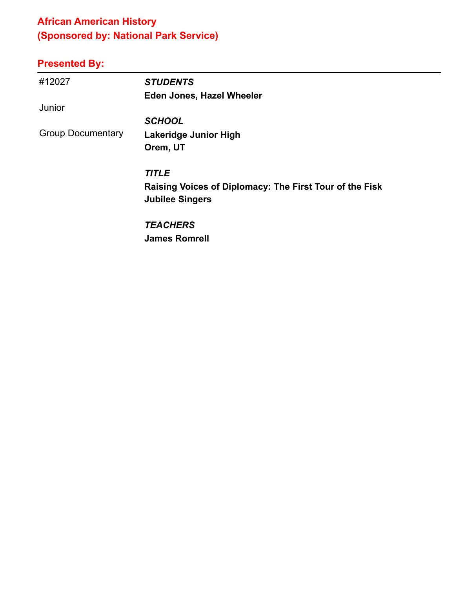## **African American History (Sponsored by: National Park Service)**

| #12027                   | <b>STUDENTS</b>                                                                   |
|--------------------------|-----------------------------------------------------------------------------------|
|                          | <b>Eden Jones, Hazel Wheeler</b>                                                  |
| Junior                   |                                                                                   |
|                          | <b>SCHOOL</b>                                                                     |
| <b>Group Documentary</b> | Lakeridge Junior High                                                             |
|                          | Orem, UT                                                                          |
|                          | <b>TITLE</b>                                                                      |
|                          | Raising Voices of Diplomacy: The First Tour of the Fisk<br><b>Jubilee Singers</b> |
|                          | <b>TEACHERS</b>                                                                   |
|                          | <b>James Romrell</b>                                                              |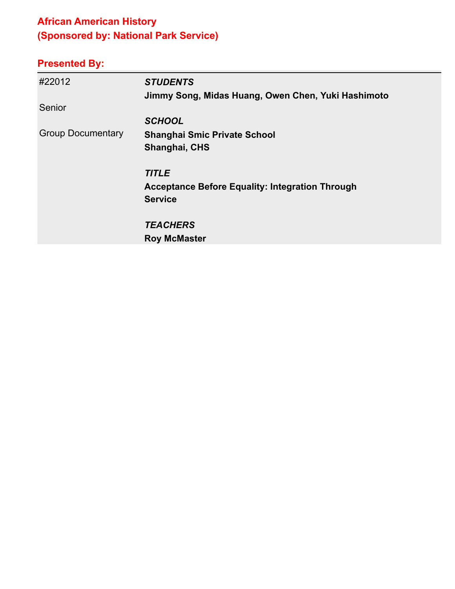## **African American History (Sponsored by: National Park Service)**

| #22012                   | <b>STUDENTS</b>                                        |
|--------------------------|--------------------------------------------------------|
|                          | Jimmy Song, Midas Huang, Owen Chen, Yuki Hashimoto     |
| Senior                   |                                                        |
|                          | <b>SCHOOL</b>                                          |
| <b>Group Documentary</b> | <b>Shanghai Smic Private School</b>                    |
|                          | Shanghai, CHS                                          |
|                          | <b>TITLE</b>                                           |
|                          | <b>Acceptance Before Equality: Integration Through</b> |
|                          | <b>Service</b>                                         |
|                          | <b>TEACHERS</b>                                        |
|                          | <b>Roy McMaster</b>                                    |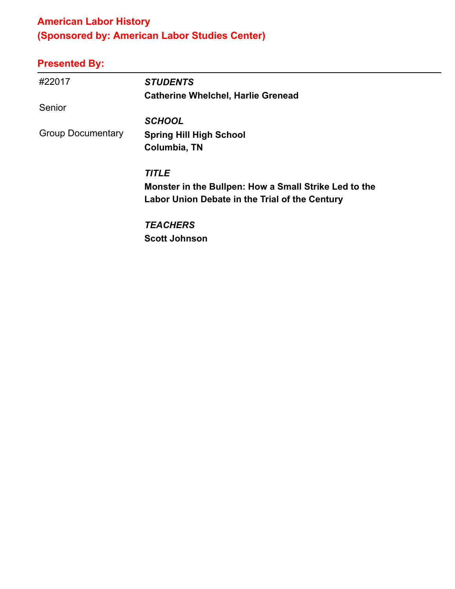## **American Labor History (Sponsored by: American Labor Studies Center)**

| #22017                   | <b>STUDENTS</b>                                       |
|--------------------------|-------------------------------------------------------|
|                          | <b>Catherine Whelchel, Harlie Grenead</b>             |
| Senior                   |                                                       |
|                          | <b>SCHOOL</b>                                         |
| <b>Group Documentary</b> | <b>Spring Hill High School</b>                        |
|                          | Columbia, TN                                          |
|                          | <b>TITLE</b>                                          |
|                          | Monster in the Bullpen: How a Small Strike Led to the |
|                          | Labor Union Debate in the Trial of the Century        |
|                          | <b>TEACHERS</b>                                       |
|                          | <b>Scott Johnson</b>                                  |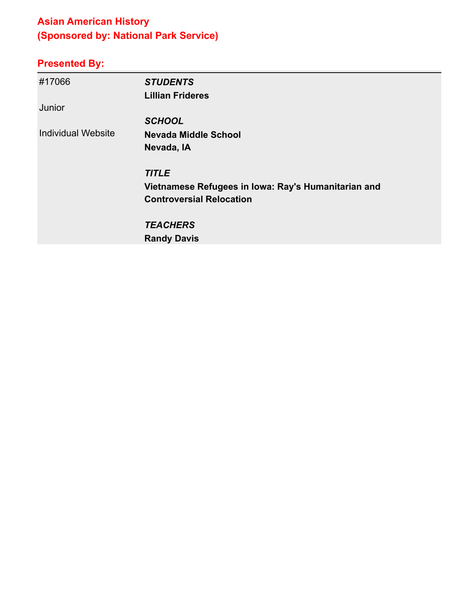## **Asian American History (Sponsored by: National Park Service)**

| #17066                    | <b>STUDENTS</b>                                     |
|---------------------------|-----------------------------------------------------|
|                           | <b>Lillian Frideres</b>                             |
| Junior                    |                                                     |
|                           | <b>SCHOOL</b>                                       |
| <b>Individual Website</b> | <b>Nevada Middle School</b>                         |
|                           | Nevada, IA                                          |
|                           | <b>TITLE</b>                                        |
|                           | Vietnamese Refugees in Iowa: Ray's Humanitarian and |
|                           | <b>Controversial Relocation</b>                     |
|                           | <b>TEACHERS</b>                                     |
|                           | <b>Randy Davis</b>                                  |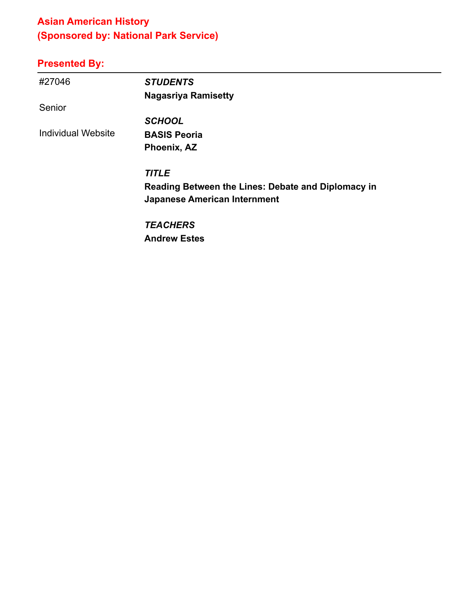## **Asian American History (Sponsored by: National Park Service)**

| #27046                    | <b>STUDENTS</b>                                    |
|---------------------------|----------------------------------------------------|
|                           | <b>Nagasriya Ramisetty</b>                         |
| Senior                    |                                                    |
|                           | <b>SCHOOL</b>                                      |
| <b>Individual Website</b> | <b>BASIS Peoria</b>                                |
|                           | Phoenix, AZ                                        |
|                           | <b>TITLE</b>                                       |
|                           | Reading Between the Lines: Debate and Diplomacy in |
|                           | <b>Japanese American Internment</b>                |
|                           | <b>TEACHERS</b>                                    |
|                           | <b>Andrew Estes</b>                                |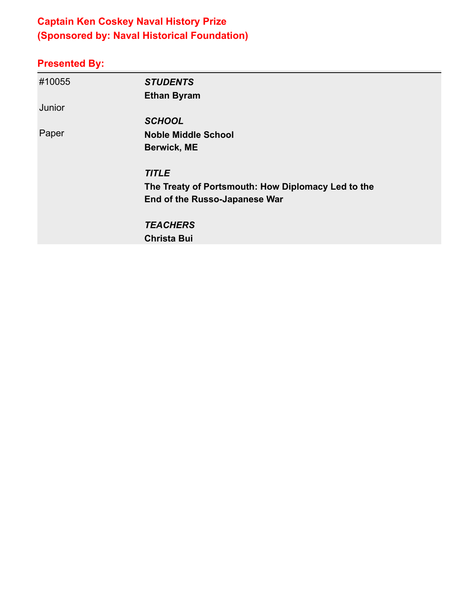## **Captain Ken Coskey Naval History Prize (Sponsored by: Naval Historical Foundation)**

| #10055 | <b>STUDENTS</b>                                    |
|--------|----------------------------------------------------|
|        | <b>Ethan Byram</b>                                 |
| Junior |                                                    |
|        | <b>SCHOOL</b>                                      |
| Paper  | <b>Noble Middle School</b>                         |
|        | <b>Berwick, ME</b>                                 |
|        | <b>TITLE</b>                                       |
|        | The Treaty of Portsmouth: How Diplomacy Led to the |
|        | End of the Russo-Japanese War                      |
|        | <b>TEACHERS</b>                                    |
|        | <b>Christa Bui</b>                                 |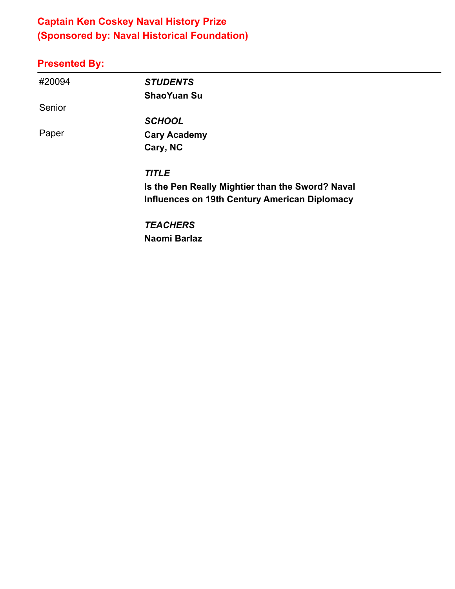## **Captain Ken Coskey Naval History Prize (Sponsored by: Naval Historical Foundation)**

#### **Presented By:**

| #20094 | <b>STUDENTS</b>                                  |
|--------|--------------------------------------------------|
|        | <b>ShaoYuan Su</b>                               |
| Senior |                                                  |
|        | <b>SCHOOL</b>                                    |
| Paper  | <b>Cary Academy</b>                              |
|        | Cary, NC                                         |
|        | <b>TITLE</b>                                     |
|        | Is the Pen Really Mightier than the Sword? Naval |
|        | Influences on 19th Century American Diplomacy    |
|        | <b>TEACHERS</b>                                  |

**Naomi Barlaz**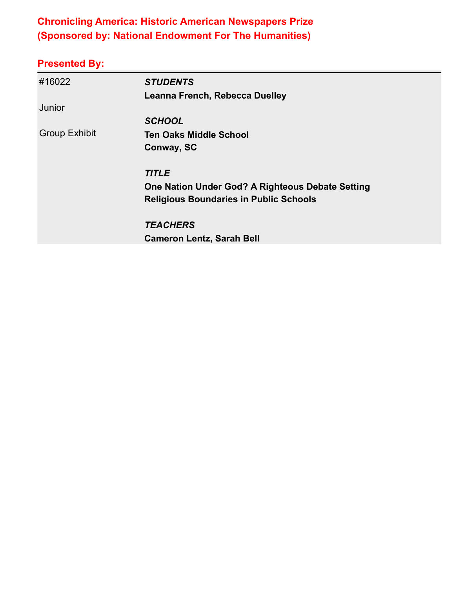#### **Chronicling America: Historic American Newspapers Prize (Sponsored by: National Endowment For The Humanities)**

| #16022               | <b>STUDENTS</b>                                  |
|----------------------|--------------------------------------------------|
|                      | Leanna French, Rebecca Duelley                   |
| Junior               |                                                  |
|                      | <b>SCHOOL</b>                                    |
| <b>Group Exhibit</b> | <b>Ten Oaks Middle School</b>                    |
|                      | Conway, SC                                       |
|                      | <b>TITLE</b>                                     |
|                      | One Nation Under God? A Righteous Debate Setting |
|                      | <b>Religious Boundaries in Public Schools</b>    |
|                      | <b>TEACHERS</b>                                  |
|                      | <b>Cameron Lentz, Sarah Bell</b>                 |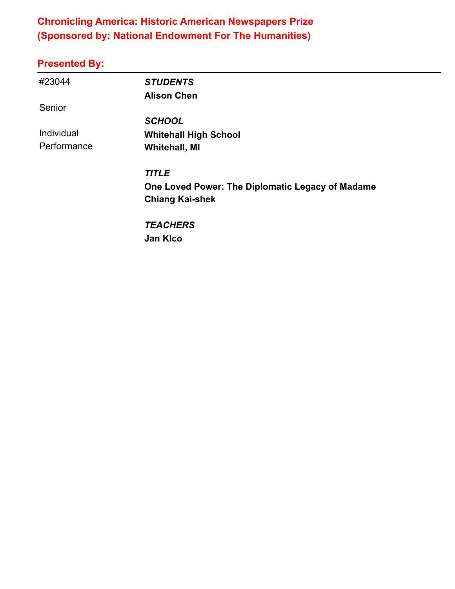#### **Chronicling America: Historic American Newspapers Prize (Sponsored by: National Endowment For The Humanities)**

| #23044      | <b>STUDENTS</b>                                  |
|-------------|--------------------------------------------------|
|             | <b>Alison Chen</b>                               |
| Senior      |                                                  |
|             | <b>SCHOOL</b>                                    |
| Individual  | <b>Whitehall High School</b>                     |
| Performance | <b>Whitehall, MI</b>                             |
|             | <b>TITLE</b>                                     |
|             | One Loved Power: The Diplomatic Legacy of Madame |
|             | <b>Chiang Kai-shek</b>                           |
|             | <b>TEACHERS</b>                                  |
|             | <b>Jan Kico</b>                                  |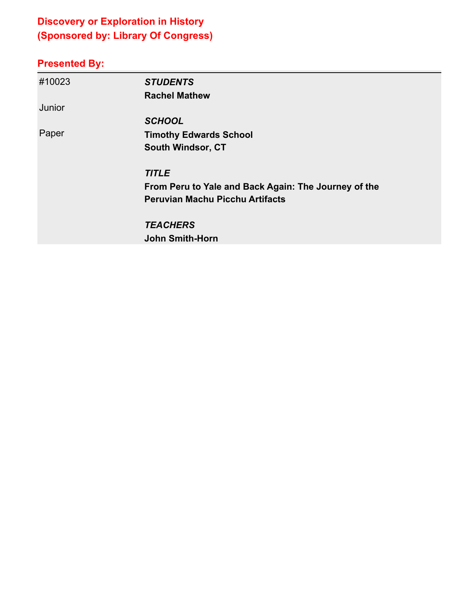## **Discovery or Exploration in History (Sponsored by: Library Of Congress)**

| #10023 | <b>STUDENTS</b>                                      |
|--------|------------------------------------------------------|
|        | <b>Rachel Mathew</b>                                 |
| Junior |                                                      |
|        | <b>SCHOOL</b>                                        |
| Paper  | <b>Timothy Edwards School</b>                        |
|        | <b>South Windsor, CT</b>                             |
|        | <b>TITLE</b>                                         |
|        | From Peru to Yale and Back Again: The Journey of the |
|        | <b>Peruvian Machu Picchu Artifacts</b>               |
|        | <b>TEACHERS</b>                                      |
|        | <b>John Smith-Horn</b>                               |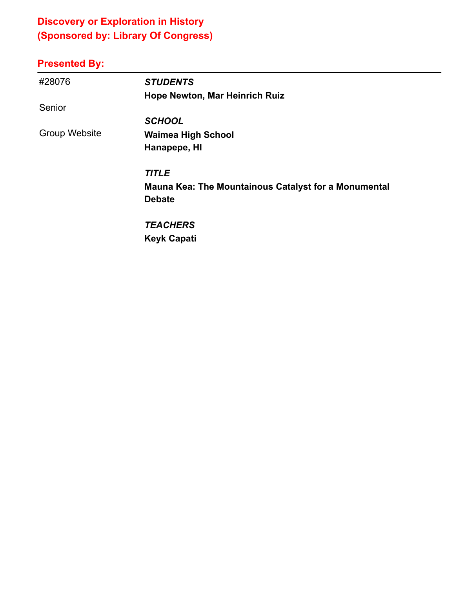## **Discovery or Exploration in History (Sponsored by: Library Of Congress)**

| #28076               | <b>STUDENTS</b>                                             |
|----------------------|-------------------------------------------------------------|
|                      | Hope Newton, Mar Heinrich Ruiz                              |
| Senior               |                                                             |
|                      | <b>SCHOOL</b>                                               |
| <b>Group Website</b> | <b>Waimea High School</b>                                   |
|                      | Hanapepe, HI                                                |
|                      | <b>TITLE</b>                                                |
|                      | <b>Mauna Kea: The Mountainous Catalyst for a Monumental</b> |
|                      | <b>Debate</b>                                               |
|                      | <b>TEACHERS</b>                                             |
|                      | <b>Keyk Capati</b>                                          |
|                      |                                                             |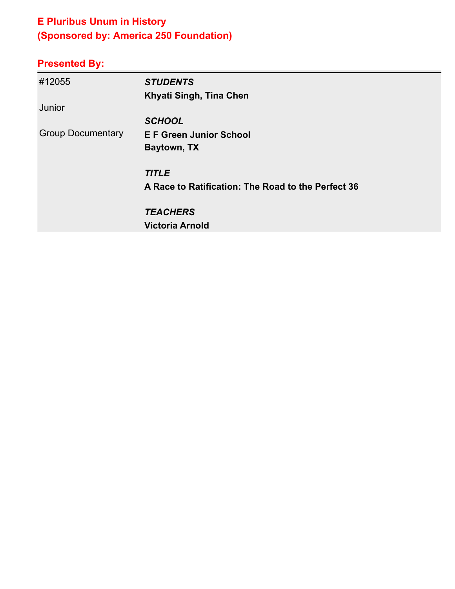## **E Pluribus Unum in History (Sponsored by: America 250 Foundation)**

| #12055                   | <b>STUDENTS</b>                                    |
|--------------------------|----------------------------------------------------|
|                          | Khyati Singh, Tina Chen                            |
| Junior                   |                                                    |
|                          | <b>SCHOOL</b>                                      |
| <b>Group Documentary</b> | <b>E F Green Junior School</b>                     |
|                          | Baytown, TX                                        |
|                          | <b>TITLE</b>                                       |
|                          | A Race to Ratification: The Road to the Perfect 36 |
|                          | <b>TEACHERS</b>                                    |
|                          | <b>Victoria Arnold</b>                             |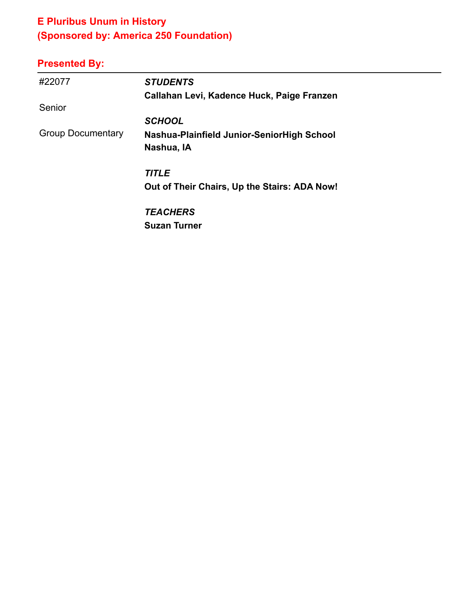## **E Pluribus Unum in History (Sponsored by: America 250 Foundation)**

| #22077                   | <b>STUDENTS</b>                              |
|--------------------------|----------------------------------------------|
|                          | Callahan Levi, Kadence Huck, Paige Franzen   |
| Senior                   |                                              |
|                          | <b>SCHOOL</b>                                |
| <b>Group Documentary</b> | Nashua-Plainfield Junior-SeniorHigh School   |
|                          | Nashua, IA                                   |
|                          | <b>TITLE</b>                                 |
|                          | Out of Their Chairs, Up the Stairs: ADA Now! |
|                          | <b>TEACHERS</b>                              |
|                          | <b>Suzan Turner</b>                          |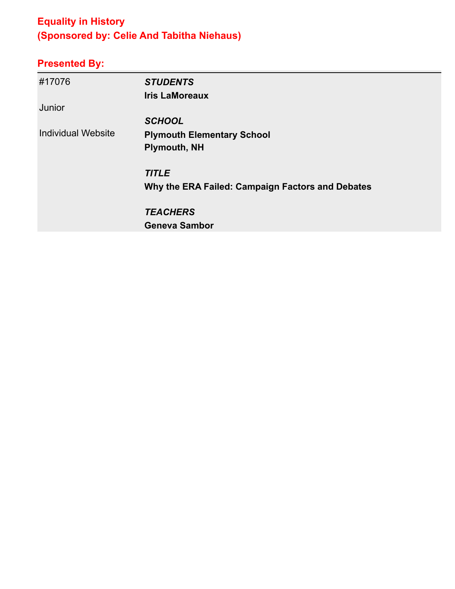## **Equality in History (Sponsored by: Celie And Tabitha Niehaus)**

| #17076             | <b>STUDENTS</b><br><b>Iris LaMoreaux</b>         |
|--------------------|--------------------------------------------------|
| Junior             |                                                  |
|                    | <b>SCHOOL</b>                                    |
| Individual Website | <b>Plymouth Elementary School</b>                |
|                    | <b>Plymouth, NH</b>                              |
|                    | <b>TITLE</b>                                     |
|                    | Why the ERA Failed: Campaign Factors and Debates |
|                    | <b>TEACHERS</b>                                  |
|                    | <b>Geneva Sambor</b>                             |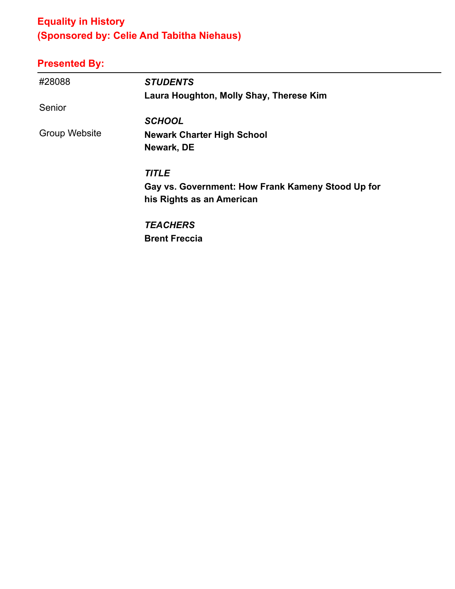## **Equality in History (Sponsored by: Celie And Tabitha Niehaus)**

| #28088        | <b>STUDENTS</b>                                   |
|---------------|---------------------------------------------------|
|               | Laura Houghton, Molly Shay, Therese Kim           |
| Senior        |                                                   |
|               | <b>SCHOOL</b>                                     |
| Group Website | <b>Newark Charter High School</b>                 |
|               | Newark, DE                                        |
|               | <b>TITLE</b>                                      |
|               | Gay vs. Government: How Frank Kameny Stood Up for |
|               | his Rights as an American                         |
|               | <b>TEACHERS</b>                                   |
|               | <b>Brent Freccia</b>                              |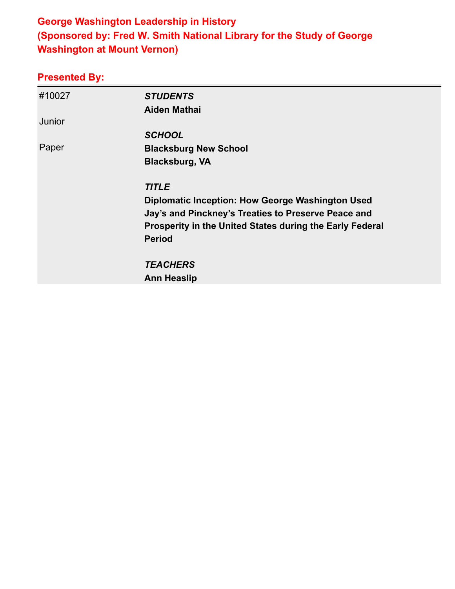#### **George Washington Leadership in History (Sponsored by: Fred W. Smith National Library for the Study of George Washington at Mount Vernon)**

| #10027 | <b>STUDENTS</b><br><b>Aiden Mathai</b>                   |
|--------|----------------------------------------------------------|
| Junior |                                                          |
|        | <b>SCHOOL</b>                                            |
| Paper  | <b>Blacksburg New School</b>                             |
|        | <b>Blacksburg, VA</b>                                    |
|        | <b>TITLE</b>                                             |
|        | <b>Diplomatic Inception: How George Washington Used</b>  |
|        | Jay's and Pinckney's Treaties to Preserve Peace and      |
|        | Prosperity in the United States during the Early Federal |
|        | <b>Period</b>                                            |
|        | <b>TEACHERS</b>                                          |
|        | <b>Ann Heaslip</b>                                       |
|        |                                                          |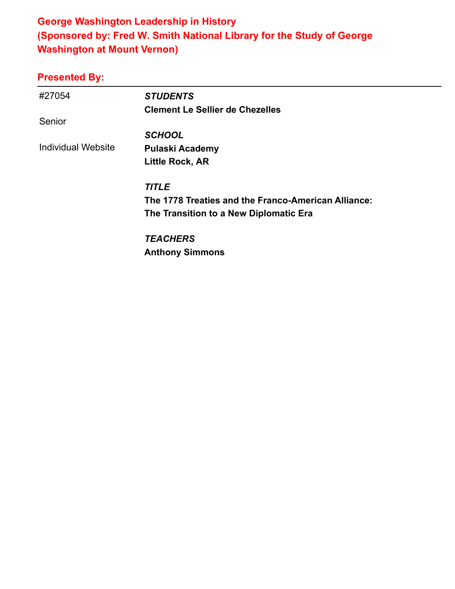#### **George Washington Leadership in History (Sponsored by: Fred W. Smith National Library for the Study of George Washington at Mount Vernon)**

| #27054                    | <b>STUDENTS</b>                                     |
|---------------------------|-----------------------------------------------------|
|                           | <b>Clement Le Sellier de Chezelles</b>              |
| Senior                    |                                                     |
|                           | <b>SCHOOL</b>                                       |
| <b>Individual Website</b> | <b>Pulaski Academy</b>                              |
|                           | <b>Little Rock, AR</b>                              |
|                           | <b>TITLE</b>                                        |
|                           | The 1778 Treaties and the Franco-American Alliance: |
|                           | The Transition to a New Diplomatic Era              |
|                           | <b>TEACHERS</b>                                     |
|                           | <b>Anthony Simmons</b>                              |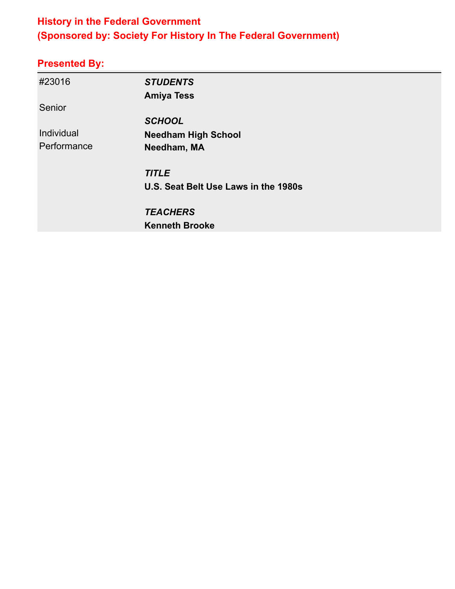#### **History in the Federal Government (Sponsored by: Society For History In The Federal Government)**

| #23016      | <b>STUDENTS</b>                      |  |
|-------------|--------------------------------------|--|
|             | <b>Amiya Tess</b>                    |  |
| Senior      |                                      |  |
|             | <b>SCHOOL</b>                        |  |
| Individual  | <b>Needham High School</b>           |  |
| Performance | Needham, MA                          |  |
|             | <b>TITLE</b>                         |  |
|             | U.S. Seat Belt Use Laws in the 1980s |  |
|             | <b>TEACHERS</b>                      |  |
|             | <b>Kenneth Brooke</b>                |  |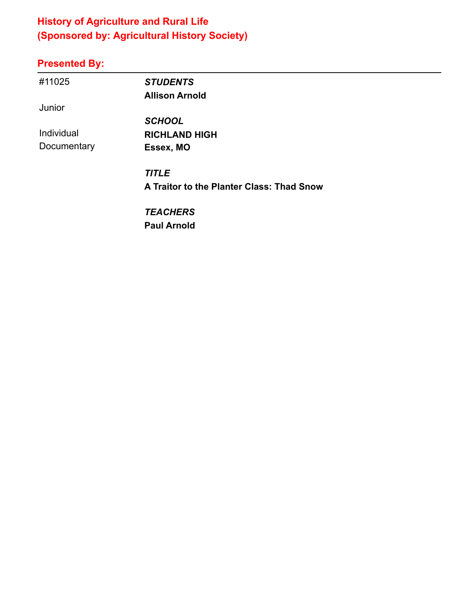## **History of Agriculture and Rural Life (Sponsored by: Agricultural History Society)**

## **Presented By:**

| #11025      | <b>STUDENTS</b>                           |  |
|-------------|-------------------------------------------|--|
|             | <b>Allison Arnold</b>                     |  |
| Junior      |                                           |  |
|             | <b>SCHOOL</b>                             |  |
| Individual  | <b>RICHLAND HIGH</b>                      |  |
| Documentary | Essex, MO                                 |  |
|             | <b>TITLE</b>                              |  |
|             | A Traitor to the Planter Class: Thad Snow |  |
|             | <b>TEACHERS</b>                           |  |

L,

**Paul Arnold**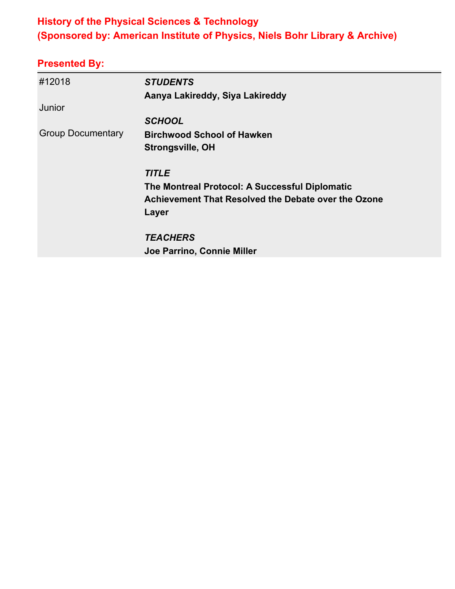#### **History of the Physical Sciences & Technology (Sponsored by: American Institute of Physics, Niels Bohr Library & Archive)**

| #12018                   | <b>STUDENTS</b>                                     |
|--------------------------|-----------------------------------------------------|
|                          | Aanya Lakireddy, Siya Lakireddy                     |
| Junior                   |                                                     |
|                          | <b>SCHOOL</b>                                       |
| <b>Group Documentary</b> | <b>Birchwood School of Hawken</b>                   |
|                          | Strongsville, OH                                    |
|                          | <b>TITLE</b>                                        |
|                          | The Montreal Protocol: A Successful Diplomatic      |
|                          | Achievement That Resolved the Debate over the Ozone |
|                          | Layer                                               |
|                          | <b>TEACHERS</b>                                     |
|                          | Joe Parrino, Connie Miller                          |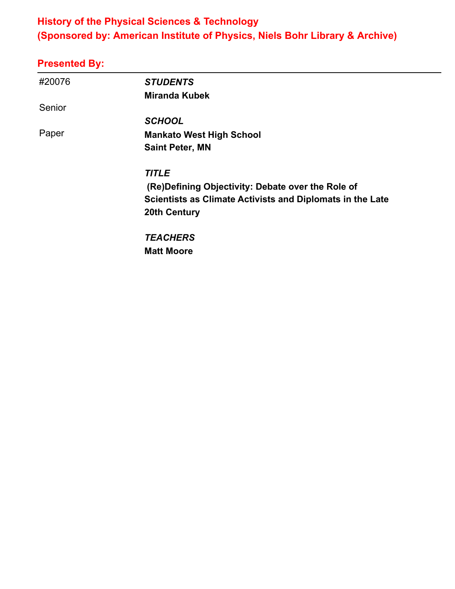#### **History of the Physical Sciences & Technology (Sponsored by: American Institute of Physics, Niels Bohr Library & Archive)**

| #20076 | <b>STUDENTS</b>                                           |
|--------|-----------------------------------------------------------|
|        | <b>Miranda Kubek</b>                                      |
| Senior |                                                           |
|        | <b>SCHOOL</b>                                             |
| Paper  | <b>Mankato West High School</b>                           |
|        | <b>Saint Peter, MN</b>                                    |
|        | <b>TITLE</b>                                              |
|        | (Re) Defining Objectivity: Debate over the Role of        |
|        | Scientists as Climate Activists and Diplomats in the Late |
|        | <b>20th Century</b>                                       |
|        | <b>TEACHERS</b>                                           |
|        | <b>Matt Moore</b>                                         |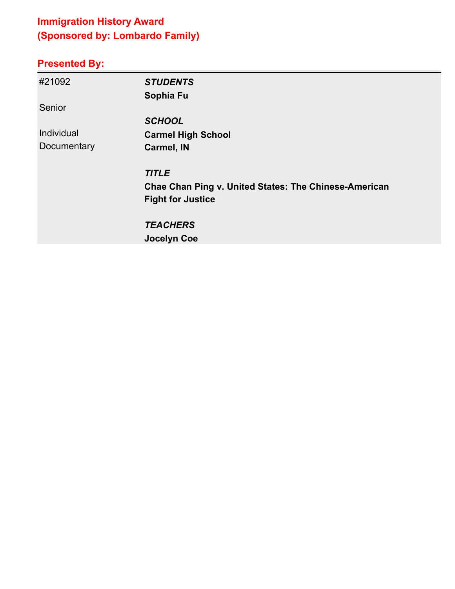## **Immigration History Award (Sponsored by: Lombardo Family)**

| #21092      | <b>STUDENTS</b>                                              |
|-------------|--------------------------------------------------------------|
|             | Sophia Fu                                                    |
| Senior      |                                                              |
|             | <b>SCHOOL</b>                                                |
| Individual  | <b>Carmel High School</b>                                    |
| Documentary | <b>Carmel, IN</b>                                            |
|             | <b>TITLE</b>                                                 |
|             | <b>Chae Chan Ping v. United States: The Chinese-American</b> |
|             | <b>Fight for Justice</b>                                     |
|             | <b>TEACHERS</b>                                              |
|             | <b>Jocelyn Coe</b>                                           |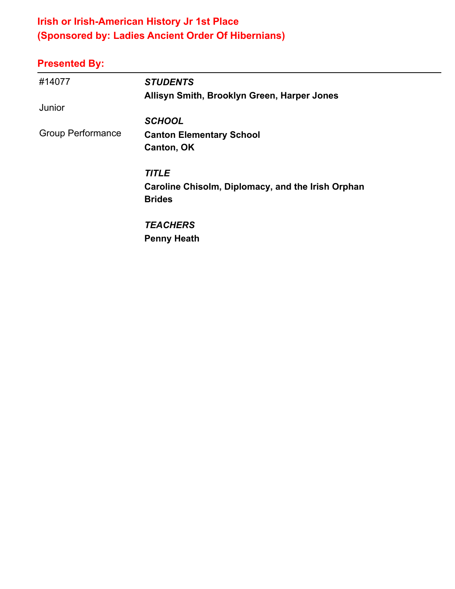## **Irish or Irish-American History Jr 1st Place (Sponsored by: Ladies Ancient Order Of Hibernians)**

| #14077                   | <b>STUDENTS</b>                                                    |
|--------------------------|--------------------------------------------------------------------|
|                          | Allisyn Smith, Brooklyn Green, Harper Jones                        |
| Junior                   |                                                                    |
|                          | <b>SCHOOL</b>                                                      |
| <b>Group Performance</b> | <b>Canton Elementary School</b>                                    |
|                          | Canton, OK                                                         |
|                          | <b>TITLE</b>                                                       |
|                          | Caroline Chisolm, Diplomacy, and the Irish Orphan<br><b>Brides</b> |
|                          | <b>TEACHERS</b>                                                    |
|                          | <b>Penny Heath</b>                                                 |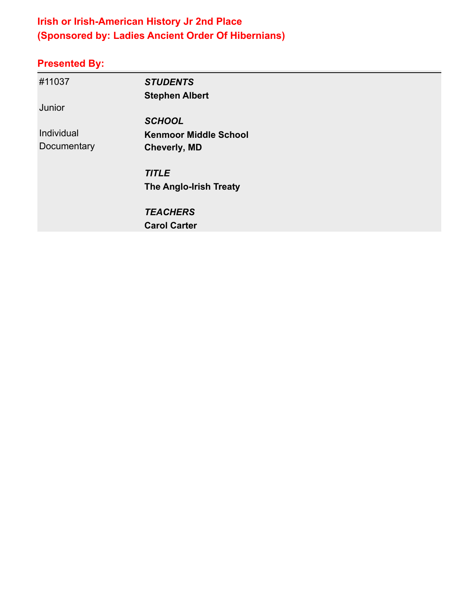## **Irish or Irish-American History Jr 2nd Place (Sponsored by: Ladies Ancient Order Of Hibernians)**

| #11037      | <b>STUDENTS</b>               |  |
|-------------|-------------------------------|--|
|             | <b>Stephen Albert</b>         |  |
| Junior      |                               |  |
|             | <b>SCHOOL</b>                 |  |
| Individual  | <b>Kenmoor Middle School</b>  |  |
| Documentary | <b>Cheverly, MD</b>           |  |
|             | <b>TITLE</b>                  |  |
|             | <b>The Anglo-Irish Treaty</b> |  |
|             | <b>TEACHERS</b>               |  |
|             | <b>Carol Carter</b>           |  |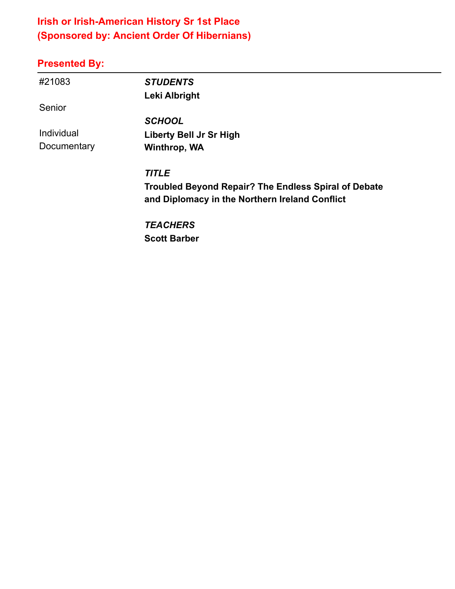#### **Irish or Irish-American History Sr 1st Place (Sponsored by: Ancient Order Of Hibernians)**

| #21083      | <b>STUDENTS</b>                                             |
|-------------|-------------------------------------------------------------|
|             | Leki Albright                                               |
| Senior      |                                                             |
|             | <b>SCHOOL</b>                                               |
| Individual  | <b>Liberty Bell Jr Sr High</b>                              |
| Documentary | Winthrop, WA                                                |
|             | <b>TITLE</b>                                                |
|             | <b>Troubled Beyond Repair? The Endless Spiral of Debate</b> |
|             | and Diplomacy in the Northern Ireland Conflict              |
|             | <b>TEACHERS</b>                                             |
|             | <b>Scott Barber</b>                                         |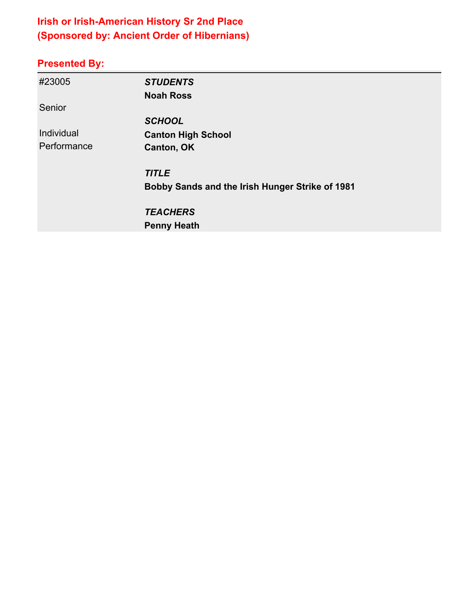## **Irish or Irish-American History Sr 2nd Place (Sponsored by: Ancient Order of Hibernians)**

| #23005      | <b>STUDENTS</b>                                 |
|-------------|-------------------------------------------------|
|             | <b>Noah Ross</b>                                |
| Senior      |                                                 |
|             | <b>SCHOOL</b>                                   |
| Individual  | <b>Canton High School</b>                       |
| Performance | Canton, OK                                      |
|             | <b>TITLE</b>                                    |
|             | Bobby Sands and the Irish Hunger Strike of 1981 |
|             | <b>TEACHERS</b>                                 |
|             | <b>Penny Heath</b>                              |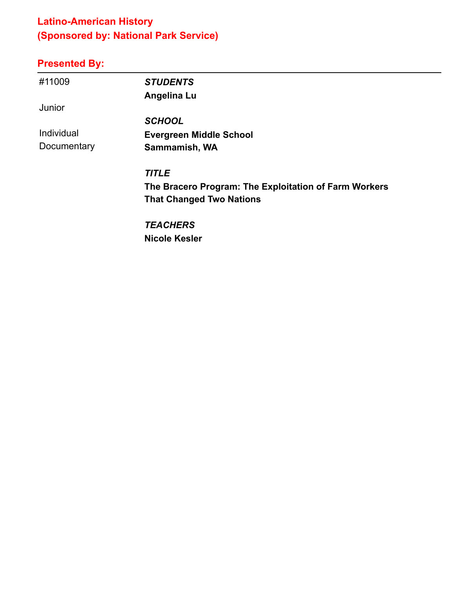## **Latino-American History (Sponsored by: National Park Service)**

| #11009      | <b>STUDENTS</b>                                       |
|-------------|-------------------------------------------------------|
|             | Angelina Lu                                           |
| Junior      |                                                       |
|             | <b>SCHOOL</b>                                         |
| Individual  | <b>Evergreen Middle School</b>                        |
| Documentary | Sammamish, WA                                         |
|             | <b>TITLE</b>                                          |
|             | The Bracero Program: The Exploitation of Farm Workers |
|             | <b>That Changed Two Nations</b>                       |
|             | <b>TEACHERS</b>                                       |
|             | <b>Nicole Kesler</b>                                  |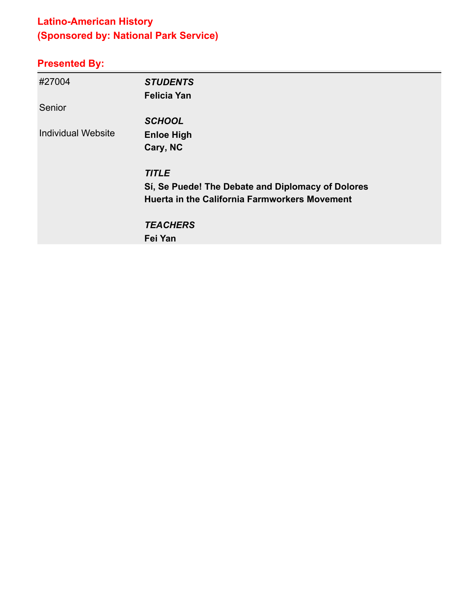## **Latino-American History (Sponsored by: National Park Service)**

| #27004                    | <b>STUDENTS</b><br><b>Felicia Yan</b>                |
|---------------------------|------------------------------------------------------|
| Senior                    |                                                      |
|                           | <b>SCHOOL</b>                                        |
| <b>Individual Website</b> | <b>Enloe High</b>                                    |
|                           | Cary, NC                                             |
|                           | <b>TITLE</b>                                         |
|                           | Sí, Se Puede! The Debate and Diplomacy of Dolores    |
|                           | <b>Huerta in the California Farmworkers Movement</b> |
|                           | <b>TEACHERS</b>                                      |
|                           | Fei Yan                                              |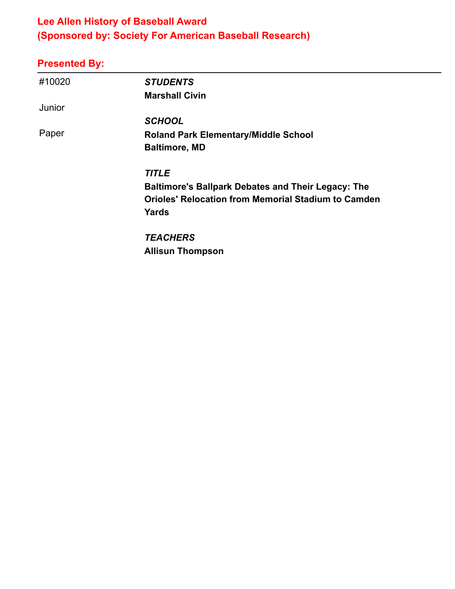#### **Lee Allen History of Baseball Award (Sponsored by: Society For American Baseball Research)**

| #10020 | <b>STUDENTS</b>                                            |
|--------|------------------------------------------------------------|
|        | <b>Marshall Civin</b>                                      |
| Junior |                                                            |
|        | <b>SCHOOL</b>                                              |
| Paper  | <b>Roland Park Elementary/Middle School</b>                |
|        | <b>Baltimore, MD</b>                                       |
|        | <b>TITLE</b>                                               |
|        | <b>Baltimore's Ballpark Debates and Their Legacy: The</b>  |
|        | <b>Orioles' Relocation from Memorial Stadium to Camden</b> |
|        | Yards                                                      |
|        | <b>TEACHERS</b>                                            |
|        | <b>Allisun Thompson</b>                                    |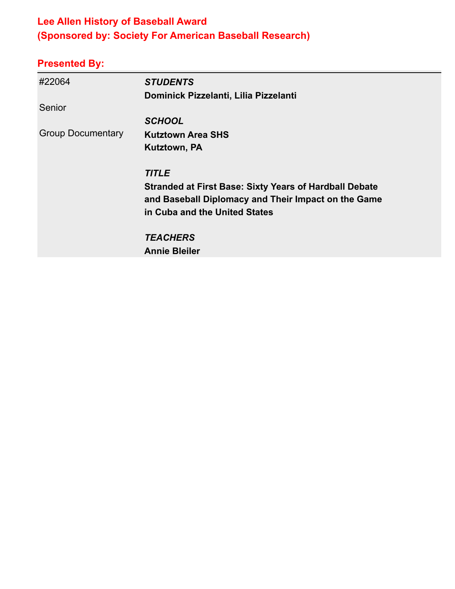#### **Lee Allen History of Baseball Award (Sponsored by: Society For American Baseball Research)**

| #22064                   | <b>STUDENTS</b>                                               |
|--------------------------|---------------------------------------------------------------|
|                          | Dominick Pizzelanti, Lilia Pizzelanti                         |
| Senior                   |                                                               |
|                          | <b>SCHOOL</b>                                                 |
| <b>Group Documentary</b> | <b>Kutztown Area SHS</b>                                      |
|                          | Kutztown, PA                                                  |
|                          | <b>TITLE</b>                                                  |
|                          | <b>Stranded at First Base: Sixty Years of Hardball Debate</b> |
|                          | and Baseball Diplomacy and Their Impact on the Game           |
|                          | in Cuba and the United States                                 |
|                          | <b>TEACHERS</b>                                               |
|                          | <b>Annie Bleiler</b>                                          |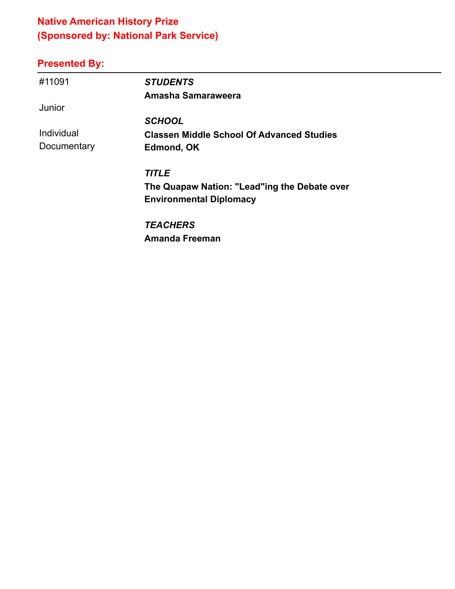## **Native American History Prize (Sponsored by: National Park Service)**

## **Presented By:**

| #11091      | <b>STUDENTS</b>                                  |
|-------------|--------------------------------------------------|
|             | Amasha Samaraweera                               |
| Junior      |                                                  |
|             | <b>SCHOOL</b>                                    |
| Individual  | <b>Classen Middle School Of Advanced Studies</b> |
| Documentary | Edmond, OK                                       |
|             | <b>TITLE</b>                                     |
|             | The Quapaw Nation: "Lead"ing the Debate over     |
|             | <b>Environmental Diplomacy</b>                   |
|             | <b>TEACHERS</b>                                  |

**Amanda Freeman**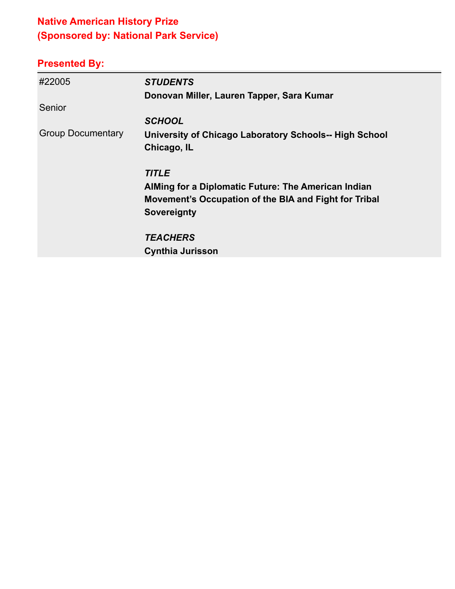## **Native American History Prize (Sponsored by: National Park Service)**

| #22005                   | <b>STUDENTS</b>                                        |
|--------------------------|--------------------------------------------------------|
|                          | Donovan Miller, Lauren Tapper, Sara Kumar              |
| Senior                   |                                                        |
|                          | <b>SCHOOL</b>                                          |
| <b>Group Documentary</b> | University of Chicago Laboratory Schools-- High School |
|                          | Chicago, IL                                            |
|                          | <b>TITLE</b>                                           |
|                          | AlMing for a Diplomatic Future: The American Indian    |
|                          | Movement's Occupation of the BIA and Fight for Tribal  |
|                          | <b>Sovereignty</b>                                     |
|                          | <b>TEACHERS</b>                                        |
|                          | <b>Cynthia Jurisson</b>                                |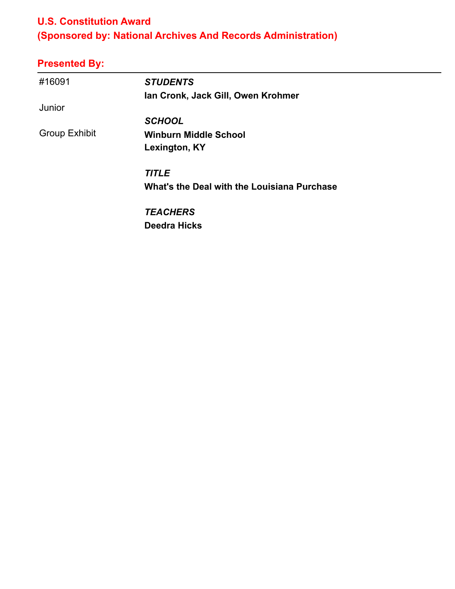#### **U.S. Constitution Award**

# **(Sponsored by: National Archives And Records Administration)**

| #16091               | <b>STUDENTS</b>                             |
|----------------------|---------------------------------------------|
|                      | Ian Cronk, Jack Gill, Owen Krohmer          |
| Junior               |                                             |
|                      | <b>SCHOOL</b>                               |
| <b>Group Exhibit</b> | <b>Winburn Middle School</b>                |
|                      | Lexington, KY                               |
|                      | <b>TITLE</b>                                |
|                      | What's the Deal with the Louisiana Purchase |
|                      | <b>TEACHERS</b>                             |
|                      | <b>Deedra Hicks</b>                         |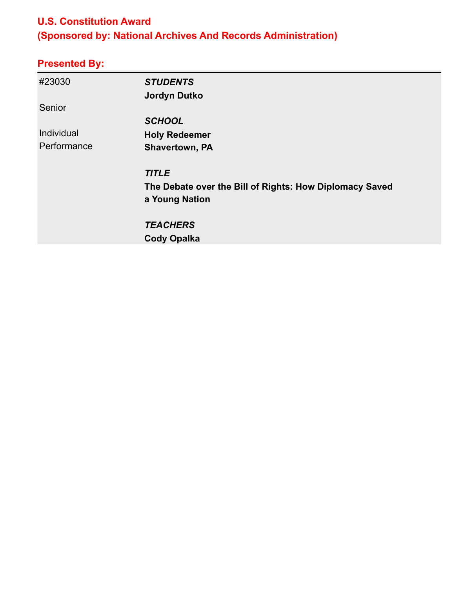#### **U.S. Constitution Award**

# **(Sponsored by: National Archives And Records Administration)**

| #23030      | <b>STUDENTS</b>                                         |
|-------------|---------------------------------------------------------|
|             | <b>Jordyn Dutko</b>                                     |
| Senior      |                                                         |
|             | <b>SCHOOL</b>                                           |
| Individual  | <b>Holy Redeemer</b>                                    |
| Performance | <b>Shavertown, PA</b>                                   |
|             | <b>TITLE</b>                                            |
|             | The Debate over the Bill of Rights: How Diplomacy Saved |
|             | a Young Nation                                          |
|             | <b>TEACHERS</b>                                         |
|             | <b>Cody Opalka</b>                                      |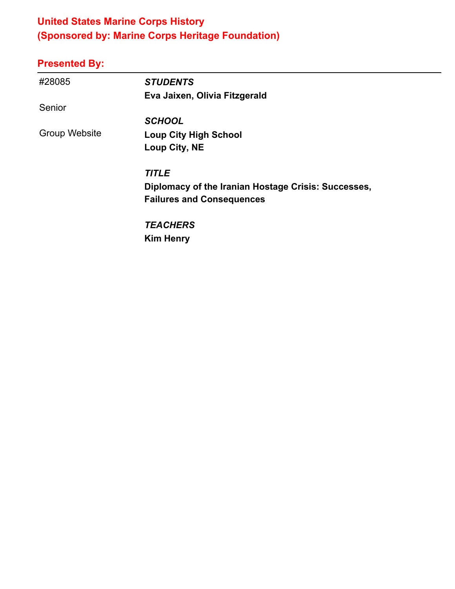#### **United States Marine Corps History (Sponsored by: Marine Corps Heritage Foundation)**

| #28085        | <b>STUDENTS</b>                                     |
|---------------|-----------------------------------------------------|
|               | Eva Jaixen, Olivia Fitzgerald                       |
| Senior        |                                                     |
|               | <b>SCHOOL</b>                                       |
| Group Website | <b>Loup City High School</b>                        |
|               | Loup City, NE                                       |
|               | <b>TITLE</b>                                        |
|               | Diplomacy of the Iranian Hostage Crisis: Successes, |
|               | <b>Failures and Consequences</b>                    |
|               | <b>TEACHERS</b>                                     |
|               | <b>Kim Henry</b>                                    |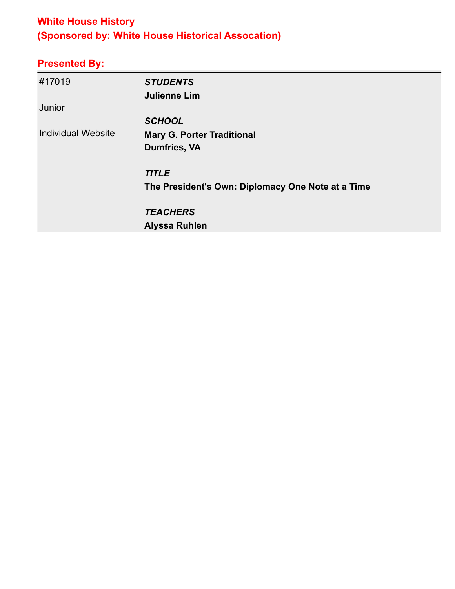#### **White House History (Sponsored by: White House Historical Assocation)**

| #17019                    | <b>STUDENTS</b>                                   |
|---------------------------|---------------------------------------------------|
|                           | <b>Julienne Lim</b>                               |
| Junior                    |                                                   |
|                           | <b>SCHOOL</b>                                     |
| <b>Individual Website</b> | <b>Mary G. Porter Traditional</b>                 |
|                           | Dumfries, VA                                      |
|                           |                                                   |
|                           | <b>TITLE</b>                                      |
|                           | The President's Own: Diplomacy One Note at a Time |
|                           | <b>TEACHERS</b>                                   |
|                           |                                                   |
|                           | <b>Alyssa Ruhlen</b>                              |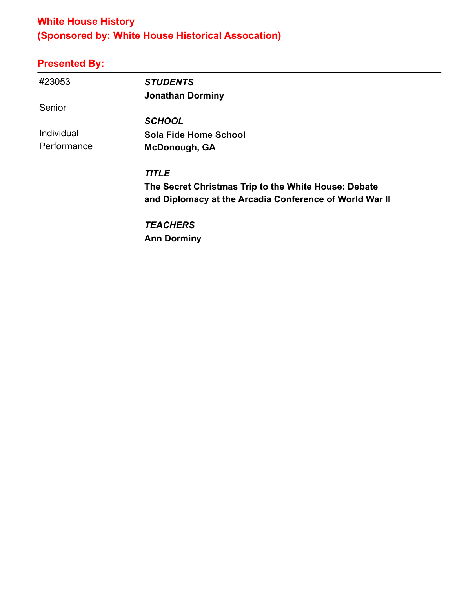#### **White House History (Sponsored by: White House Historical Assocation)**

## **Presented By:**

| #23053      | <b>STUDENTS</b>                                         |
|-------------|---------------------------------------------------------|
|             | <b>Jonathan Dorminy</b>                                 |
| Senior      |                                                         |
|             | <b>SCHOOL</b>                                           |
| Individual  | Sola Fide Home School                                   |
| Performance | <b>McDonough, GA</b>                                    |
|             | <b>TITLE</b>                                            |
|             | The Secret Christmas Trip to the White House: Debate    |
|             | and Diplomacy at the Arcadia Conference of World War II |
|             | <b>TEACHERS</b>                                         |

**Ann Dorminy**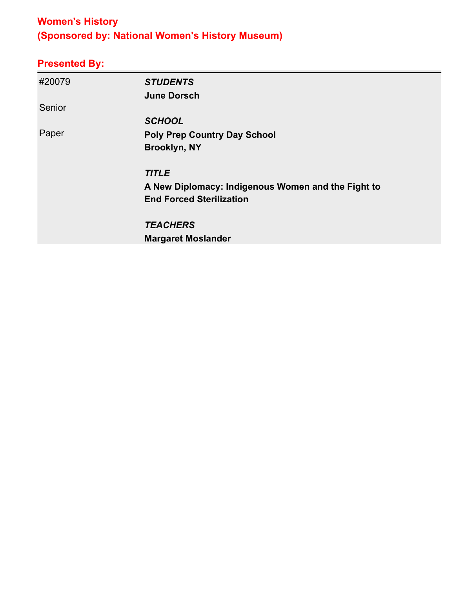## **Women's History (Sponsored by: National Women's History Museum)**

| #20079 | <b>STUDENTS</b>                                    |
|--------|----------------------------------------------------|
|        | <b>June Dorsch</b>                                 |
| Senior |                                                    |
|        | <b>SCHOOL</b>                                      |
| Paper  | <b>Poly Prep Country Day School</b>                |
|        | <b>Brooklyn, NY</b>                                |
|        | <b>TITLE</b>                                       |
|        | A New Diplomacy: Indigenous Women and the Fight to |
|        | <b>End Forced Sterilization</b>                    |
|        | <b>TEACHERS</b>                                    |
|        | <b>Margaret Moslander</b>                          |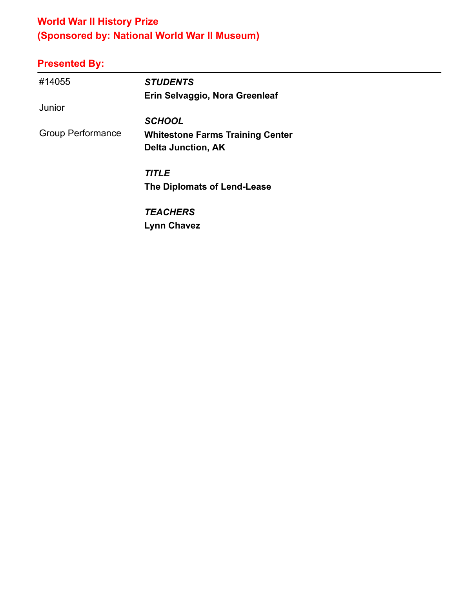## **World War II History Prize (Sponsored by: National World War II Museum)**

| #14055                   | <b>STUDENTS</b>                         |
|--------------------------|-----------------------------------------|
|                          | Erin Selvaggio, Nora Greenleaf          |
| Junior                   |                                         |
|                          | <b>SCHOOL</b>                           |
| <b>Group Performance</b> | <b>Whitestone Farms Training Center</b> |
|                          | <b>Delta Junction, AK</b>               |
|                          | <b>TITLE</b>                            |
|                          | The Diplomats of Lend-Lease             |
|                          | <b>TEACHERS</b>                         |
|                          | <b>Lynn Chavez</b>                      |